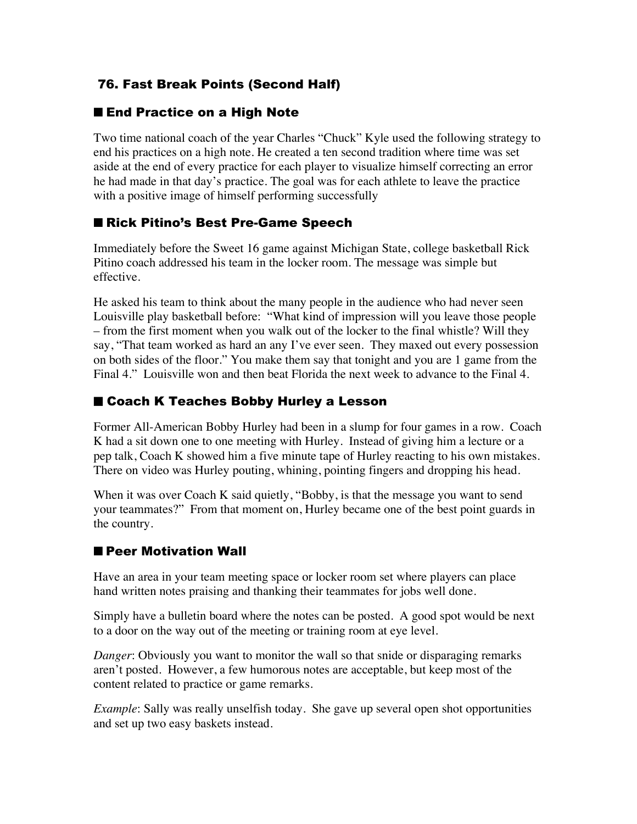# 76. Fast Break Points (Second Half)

#### ■ End Practice on a High Note

Two time national coach of the year Charles "Chuck" Kyle used the following strategy to end his practices on a high note. He created a ten second tradition where time was set aside at the end of every practice for each player to visualize himself correcting an error he had made in that day's practice. The goal was for each athlete to leave the practice with a positive image of himself performing successfully

### ■ Rick Pitino's Best Pre-Game Speech

Immediately before the Sweet 16 game against Michigan State, college basketball Rick Pitino coach addressed his team in the locker room. The message was simple but effective.

He asked his team to think about the many people in the audience who had never seen Louisville play basketball before: "What kind of impression will you leave those people – from the first moment when you walk out of the locker to the final whistle? Will they say, "That team worked as hard an any I've ever seen. They maxed out every possession on both sides of the floor." You make them say that tonight and you are 1 game from the Final 4." Louisville won and then beat Florida the next week to advance to the Final 4.

## ■ Coach K Teaches Bobby Hurley a Lesson

Former All-American Bobby Hurley had been in a slump for four games in a row. Coach K had a sit down one to one meeting with Hurley. Instead of giving him a lecture or a pep talk, Coach K showed him a five minute tape of Hurley reacting to his own mistakes. There on video was Hurley pouting, whining, pointing fingers and dropping his head.

When it was over Coach K said quietly, "Bobby, is that the message you want to send your teammates?" From that moment on, Hurley became one of the best point guards in the country.

## ■ Peer Motivation Wall

Have an area in your team meeting space or locker room set where players can place hand written notes praising and thanking their teammates for jobs well done.

Simply have a bulletin board where the notes can be posted. A good spot would be next to a door on the way out of the meeting or training room at eye level.

*Danger*: Obviously you want to monitor the wall so that snide or disparaging remarks aren't posted. However, a few humorous notes are acceptable, but keep most of the content related to practice or game remarks.

*Example*: Sally was really unselfish today. She gave up several open shot opportunities and set up two easy baskets instead.